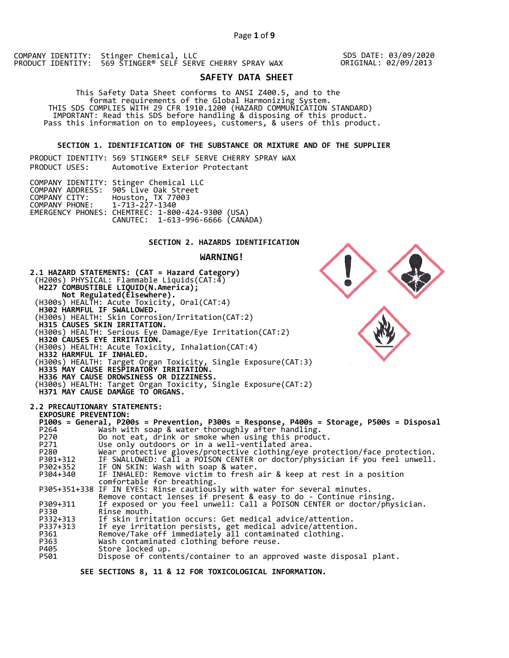SDS DATE: 03/09/2020 ORIGINAL: 02/09/2013

# **SAFETY DATA SHEET**

 This Safety Data Sheet conforms to ANSI Z400.5, and to the format requirements of the Global Harmonizing System. THIS SDS COMPLIES WITH 29 CFR 1910.1200 (HAZARD COMMUNICATION STANDARD) IMPORTANT: Read this SDS before handling & disposing of this product. Pass this information on to employees, customers, & users of this product.

## **SECTION 1. IDENTIFICATION OF THE SUBSTANCE OR MIXTURE AND OF THE SUPPLIER**

PRODUCT IDENTITY: 569 STINGER® SELF SERVE CHERRY SPRAY WAX PRODUCT USES: Automotive Exterior Protectant

|                               | COMPANY IDENTITY: Stinger Chemical LLC<br>COMPANY ADDRESS: 905 Live Oak Street<br>COMPANY CITY: Houston, TX 77003 |  |
|-------------------------------|-------------------------------------------------------------------------------------------------------------------|--|
| COMPANY PHONE: 1-713-227-1340 | EMERGENCY PHONES: CHEMTREC: 1-800-424-9300 (USA)<br>CANUTEC: 1-613-996-6666 (CANADA)                              |  |

## **SECTION 2. HAZARDS IDENTIFICATION**

## **WARNING!**



 **SEE SECTIONS 8, 11 & 12 FOR TOXICOLOGICAL INFORMATION.**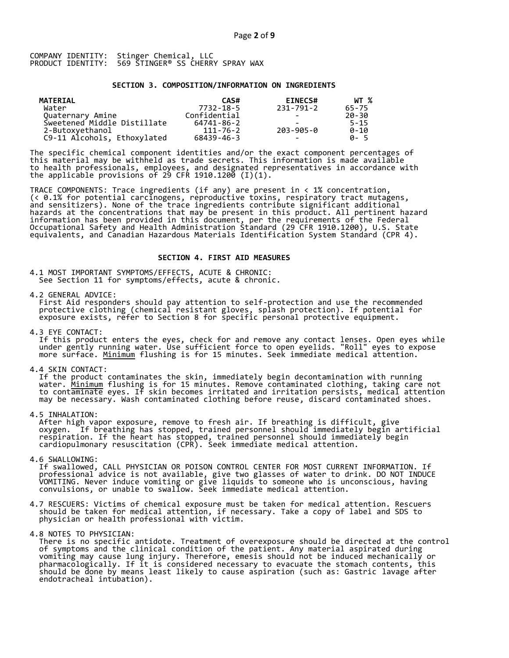### **SECTION 3. COMPOSITION/INFORMATION ON INGREDIENTS**

| MATERIAL                    | CAS#         | <b>EINECS#</b>           | WT %     |
|-----------------------------|--------------|--------------------------|----------|
| Water                       | 7732-18-5    | 231-791-2                | 65-75    |
| Quaternary Amine            | Confidential |                          | 20-30    |
| Sweetened Middle Distillate | 64741-86-2   |                          | $5 - 15$ |
| 2-Butoxyethanol             | 111-76-2     | 203-905-0                | $0 - 10$ |
| C9-11 Alcohols, Ethoxylated | 68439-46-3   | $\overline{\phantom{0}}$ | A-5      |

The specific chemical component identities and/or the exact component percentages of this material may be withheld as trade secrets. This information is made available to health professionals, employees, and designated representatives in accordance with the applicable provisions of 29 CFR 1910.1200̄ (I)(1).  $\overline{\phantom{a}}$ 

TRACE COMPONENTS: Trace ingredients (if any) are present in < 1% concentration, (< 0.1% for potential carcinogens, reproductive toxins, respiratory tract mutagens, and sensitizers). None of the trace ingredients contribute significant additional hazards at the concentrations that may be present in this product. All pertinent hazard information has been provided in this document, per the requirements of the Federal Occupational Safety and Health Administration Standard (29 CFR 1910.1200), U.S. State equivalents, and Canadian Hazardous Materials Identification System Standard (CPR 4).

### **SECTION 4. FIRST AID MEASURES**

4.1 MOST IMPORTANT SYMPTOMS/EFFECTS, ACUTE & CHRONIC: See Section 11 for symptoms/effects, acute & chronic.

4.2 GENERAL ADVICE:

 First Aid responders should pay attention to self-protection and use the recommended protective clothing (chemical resistant gloves, splash protection). If potential for exposure exists, refer to Section 8 for specific personal protective equipment.

4.3 EYE CONTACT:

 If this product enters the eyes, check for and remove any contact lenses. Open eyes while under gently running water. Use sufficient force to open eyelids. "Roll" eyes to expose more surface. <u>Minimum</u> flushing is for 15 minutes. Seek immediate medical attention.

4.4 SKIN CONTACT:

 If the product contaminates the skin, immediately begin decontamination with running water. <u>Minimum</u> flushing is for 15 minutes. Remove contaminated clothing, taking care not to contaminate eyes. If skin becomes irritated and irritation persists, medical attention may be necessary. Wash contaminated clothing before reuse, discard contaminated shoes.

4.5 INHALATION:

 After high vapor exposure, remove to fresh air. If breathing is difficult, give oxygen. If breathing has stopped, trained personnel should immediately begin artificial respiration. If the heart has stopped, trained personnel should immediately begin cardiopulmonary resuscitation (CPR). Seek immediate medical attention.

4.6 SWALLOWING:

 If swallowed, CALL PHYSICIAN OR POISON CONTROL CENTER FOR MOST CURRENT INFORMATION. If professional advice is not available, give two glasses of water to drink. DO NOT INDUCE VOMITING. Never induce vomiting or give liquids to someone who is unconscious, having convulsions, or unable to swallow. Seek immediate medical attention.

- 4.7 RESCUERS: Victims of chemical exposure must be taken for medical attention. Rescuers should be taken for medical attention, if necessary. Take a copy of label and SDS to physician or health professional with victim.
- 4.8 NOTES TO PHYSICIAN:
- There is no specific antidote. Treatment of overexposure should be directed at the control of symptoms and the clinical condition of the patient. Any material aspirated during vomiting may cause lung injury. Therefore, emesis should not be induced mechanically or pharmacologically. If it is considered necessary to evacuate the stomach contents, this should be done by means least likely to cause aspiration (such as: Gastric lavage after endotracheal intubation).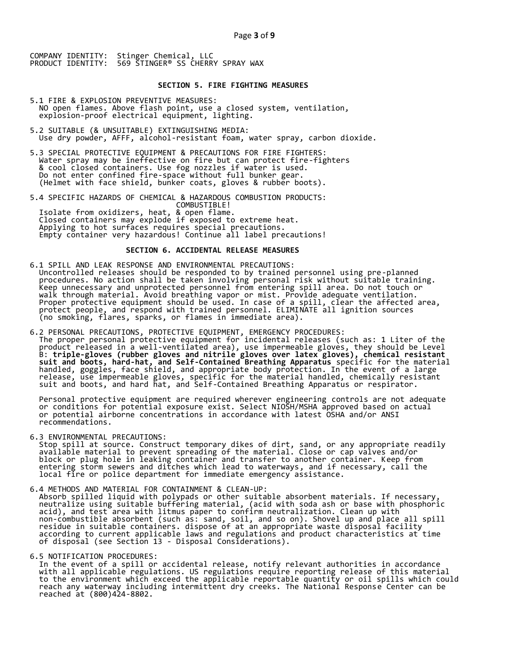## **SECTION 5. FIRE FIGHTING MEASURES**

- 5.1 FIRE & EXPLOSION PREVENTIVE MEASURES: NO open flames. Above flash point, use a closed system, ventilation, explosion-proof electrical equipment, lighting.
- 5.2 SUITABLE (& UNSUITABLE) EXTINGUISHING MEDIA: Use dry powder, AFFF, alcohol-resistant foam, water spray, carbon dioxide.
- 5.3 SPECIAL PROTECTIVE EQUIPMENT & PRECAUTIONS FOR FIRE FIGHTERS: Water spray may be ineffective on fire but can protect fire-fighters & cool closed containers. Use fog nozzles if water is used. Do not enter confined fire-space without full bunker gear. (Helmet with face shield, bunker coats, gloves & rubber boots).
- 5.4 SPECIFIC HAZARDS OF CHEMICAL & HAZARDOUS COMBUSTION PRODUCTS: COMBUSTIBLE! Isolate from oxidizers, heat, & open flame. Closed containers may explode if exposed to extreme heat. Applying to hot surfaces requires special precautions. Empty container very hazardous! Continue all label precautions!

## **SECTION 6. ACCIDENTAL RELEASE MEASURES**

- 6.1 SPILL AND LEAK RESPONSE AND ENVIRONMENTAL PRECAUTIONS: Uncontrolled releases should be responded to by trained personnel using pre-planned procedures. No action shall be taken involving personal risk without suitable training. Keep unnecessary and unprotected personnel from entering spill area. Do not touch or walk through material. Avoid breathing vapor or mist. Provide adequate ventilation. Proper protective equipment should be used. In case of a spill, clear the affected area, protect people, and respond with trained personnel. ELIMINATE all ignition sources (no smoking, flares, sparks, or flames in immediate area).
- 6.2 PERSONAL PRECAUTIONS, PROTECTIVE EQUIPMENT, EMERGENCY PROCEDURES: The proper personal protective equipment for incidental releases (such as: 1 Liter of the product released in a well-ventilated area), use impermeable gloves, they should be Level B: **triple-gloves (rubber gloves and nitrile gloves over latex gloves), chemical resistant suit and boots, hard-hat, and Self-Contained Breathing Apparatus** specific for the material handled, goggles, face shield, and appropriate body protection. In the event of a large release, use impermeable gloves, specific for the material handled, chemically resistant suit and boots, and hard hat, and Self-Contained Breathing Apparatus or respirator.

 Personal protective equipment are required wherever engineering controls are not adequate or conditions for potential exposure exist. Select NIOSH/MSHA approved based on actual or potential airborne concentrations in accordance with latest OSHA and/or ANSI recommendations.

6.3 ENVIRONMENTAL PRECAUTIONS:

 Stop spill at source. Construct temporary dikes of dirt, sand, or any appropriate readily available material to prevent spreading of the material. Close or cap valves and/or block or plug hole in leaking container and transfer to another container. Keep from entering storm sewers and ditches which lead to waterways, and if necessary, call the local fire or police department for immediate emergency assistance.

6.4 METHODS AND MATERIAL FOR CONTAINMENT & CLEAN-UP:

 Absorb spilled liquid with polypads or other suitable absorbent materials. If necessary, neutralize using suitable buffering material, (acid with soda ash or base with phosphoric acid), and test area with litmus paper to confirm neutralization. Clean up with non-combustible absorbent (such as: sand, soil, and so on). Shovel up and place all spill residue in suitable containers. dispose of at an appropriate waste disposal facility according to current applicable laws and regulations and product characteristics at time of disposal (see Section 13 - Disposal Considerations).

### 6.5 NOTIFICATION PROCEDURES:

 In the event of a spill or accidental release, notify relevant authorities in accordance with all applicable regulations. US regulations require reporting release of this material to the environment which exceed the applicable reportable quantity or oil spills which could reach any waterway including intermittent dry creeks. The National Response Center can be reached at (800)424-8802.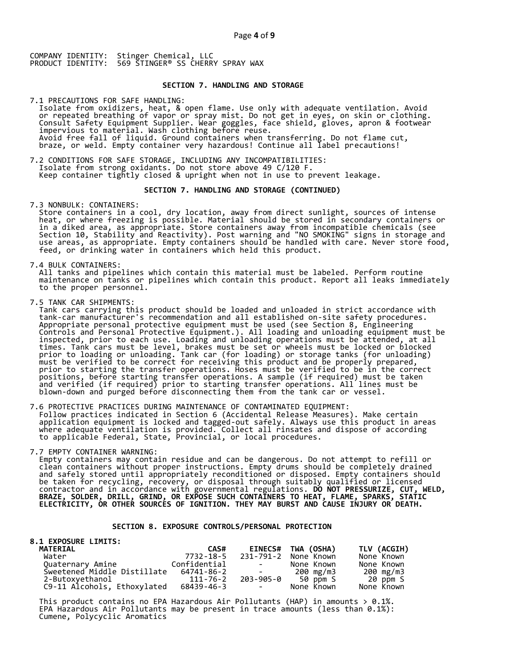## **SECTION 7. HANDLING AND STORAGE**

7.1 PRECAUTIONS FOR SAFE HANDLING: Isolate from oxidizers, heat, & open flame. Use only with adequate ventilation. Avoid or repeated breathing of vapor or spray mist. Do not get in eyes, on skin or clothing. Consult Safety Equipment Supplier. Wear goggles, face shield, gloves, apron & footwear impervious to material. Wash clothing before reuse. Avoid free fall of liquid. Ground containers when transferring. Do not flame cut, braze, or weld. Empty container very hazardous! Continue all label precautions!

7.2 CONDITIONS FOR SAFE STORAGE, INCLUDING ANY INCOMPATIBILITIES: Isolate from strong oxidants. Do not store above 49 C/120 F. Keep container tightly closed & upright when not in use to prevent leakage.

### **SECTION 7. HANDLING AND STORAGE (CONTINUED)**

7.3 NONBULK: CONTAINERS:

 Store containers in a cool, dry location, away from direct sunlight, sources of intense heat, or where freezing is possible. Material should be stored in secondary containers or in a diked area, as appropriate. Store containers away from incompatible chemicals (see Section 10, Stability and Reactivity). Post warning and "NO SMOKING" signs in storage and use areas, as appropriate. Empty containers should be handled with care. Never store food, feed, or drinking water in containers which held this product.

7.4 BULK CONTAINERS:

 All tanks and pipelines which contain this material must be labeled. Perform routine maintenance on tanks or pipelines which contain this product. Report all leaks immediately to the proper personnel.

7.5 TANK CAR SHIPMENTS:

 Tank cars carrying this product should be loaded and unloaded in strict accordance with tank-car manufacturer's recommendation and all established on-site safety procedures. Appropriate personal protective equipment must be used (see Section 8, Engineering Controls and Personal Protective Equipment.). All loading and unloading equipment must be inspected, prior to each use. Loading and unloading operations must be attended, at all times. Tank cars must be level, brakes must be set or wheels must be locked or blocked prior to loading or unloading. Tank car (for loading) or storage tanks (for unloading) must be verified to be correct for receiving this product and be properly prepared, prior to starting the transfer operations. Hoses must be verified to be in the correct positions, before starting transfer operations. A sample (if required) must be taken and verified (if required) prior to starting transfer operations. All lines must be blown-down and purged before disconnecting them from the tank car or vessel.

7.6 PROTECTIVE PRACTICES DURING MAINTENANCE OF CONTAMINATED EQUIPMENT: Follow practices indicated in Section 6 (Accidental Release Measures). Make certain application equipment is locked and tagged-out safely. Always use this product in areas where adequate ventilation is provided. Collect all rinsates and dispose of according to applicable Federal, State, Provincial, or local procedures.

7.7 EMPTY CONTAINER WARNING:

 Empty containers may contain residue and can be dangerous. Do not attempt to refill or clean containers without proper instructions. Empty drums should be completely drained and safely stored until appropriately reconditioned or disposed. Empty containers should be taken for recycling, recovery, or disposal through suitably qualified or licensed contractor and in accordance with governmental regulations. **DO NOT PRESSURIZE, CUT, WELD, BRAZE, SOLDER, DRILL, GRIND, OR EXPOSE SUCH CONTAINERS TO HEAT, FLAME, SPARKS, STATIC ELECTRICITY, OR OTHER SOURCES OF IGNITION. THEY MAY BURST AND CAUSE INJURY OR DEATH.**

## **SECTION 8. EXPOSURE CONTROLS/PERSONAL PROTECTION**

| <b>8.1 EXPOSURE LIMITS:</b> |              |                                                                                                   |                    |             |
|-----------------------------|--------------|---------------------------------------------------------------------------------------------------|--------------------|-------------|
| <b>MATERIAL</b>             | CAS#         |                                                                                                   | EINECS# TWA (OSHA) | TLV (ACGIH) |
| Water                       | 7732-18-5    | 231-791-2                                                                                         | None Known         | None Known  |
| Quaternary Amine            | Confidential | <b>Contract Contract</b>                                                                          | None Known         | None Known  |
| Sweetened Middle Distillate | 64741-86-2   | $\mathcal{L}_{\text{max}}$ and $\mathcal{L}_{\text{max}}$ . The set of $\mathcal{L}_{\text{max}}$ | 200 mg/m3          | 200 mg/m3   |
| 2-Butoxyethanol             | 111-76-2     |                                                                                                   | 203-905-0 50 ppm S | 20 ppm S    |
| C9-11 Alcohols, Ethoxylated | 68439-46-3   | <b>Contract Contract</b>                                                                          | None Known         | None Known  |

This product contains no EPA Hazardous Air Pollutants (HAP) in amounts  $> 0.1\%$ . EPA Hazardous Air Pollutants may be present in trace amounts (less than 0.1%): Cumene, Polycyclic Aromatics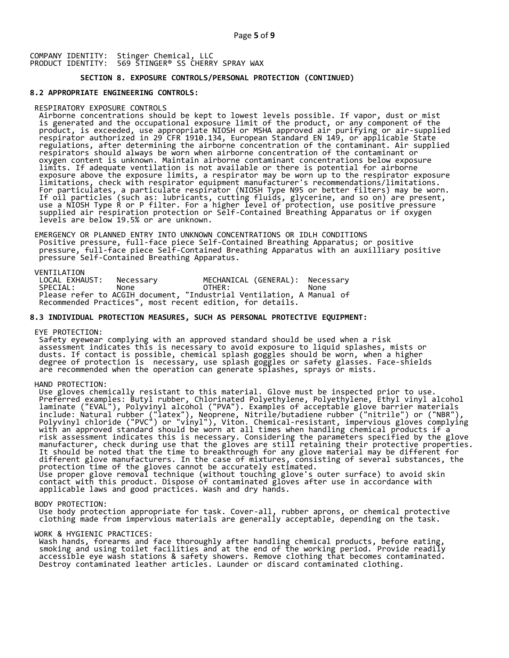## **SECTION 8. EXPOSURE CONTROLS/PERSONAL PROTECTION (CONTINUED)**

### **8.2 APPROPRIATE ENGINEERING CONTROLS:**

#### RESPIRATORY EXPOSURE CONTROLS

 Airborne concentrations should be kept to lowest levels possible. If vapor, dust or mist is generated and the occupational exposure limit of the product, or any component of the product, is exceeded, use appropriate NIOSH or MSHA approved air purifying or air-supplied respirator authorized in 29 CFR 1910.134, European Standard EN 149, or applicable State regulations, after determining the airborne concentration of the contaminant. Air supplied respirators should always be worn when airborne concentration of the contaminant or oxygen content is unknown. Maintain airborne contaminant concentrations below exposure limits. If adequate ventilation is not available or there is potential for airborne exposure above the exposure limits, a respirator may be worn up to the respirator exposure limitations, check with respirator equipment manufacturer's recommendations/limitations. For particulates, a particulate respirator (NIOSH Type N95 or better filters) may be worn. If oil particles (such as: lubricants, cutting fluids, glycerine, and so on) are present, use a NIOSH Type R or P filter. For a higher level of protection, use positive pressure supplied air respiration protection or Self-Contained Breathing Apparatus or if oxygen levels are below 19.5% or are unknown.

 EMERGENCY OR PLANNED ENTRY INTO UNKNOWN CONCENTRATIONS OR IDLH CONDITIONS Positive pressure, full-face piece Self-Contained Breathing Apparatus; or positive pressure, full-face piece Self-Contained Breathing Apparatus with an auxilliary positive pressure Self-Contained Breathing Apparatus.

VENTILATION<br>LOCAL EXHAUST: LOCAL EXHAUST: Necessary MECHANICAL (GENERAL): Necessary SPECIAL: None OTHER: None Please refer to ACGIH document, "Industrial Ventilation, A Manual of Recommended Practices", most recent edition, for details.

### **8.3 INDIVIDUAL PROTECTION MEASURES, SUCH AS PERSONAL PROTECTIVE EQUIPMENT:**

EYE PROTECTION:

 Safety eyewear complying with an approved standard should be used when a risk assessment indicates this is necessary to avoid exposure to liquid splashes, mists or dusts. If contact is possible, chemical splash goggles should be worn, when a higher degree of protection is necessary, use splash goggles or safety glasses. Face-shields are recommended when the operation can generate splashes, sprays or mists.

HAND PROTECTION:

 Use gloves chemically resistant to this material. Glove must be inspected prior to use. Preferred examples: Butyl rubber, Chlorinated Polyethylene, Polyethylene, Ethyl vinyl alcohol laminate ("EVAL"), Polyvinyl alcohol ("PVA"). Examples of acceptable glove barrier materials include: Natural rubber ("latex"), Neoprene, Nitrile/butadiene rubber ("nitrile") or ("NBR"), Polyvinyl chloride ("PVC") or "vinyl"), Viton. Chemical-resistant, impervious gloves complying with an approved standard should be worn at all times when handling chemical products if a risk assessment indicates this is necessary. Considering the parameters specified by the glove manufacturer, check during use that the gloves are still retaining their protective properties. It should be noted that the time to breakthrough for any glove material may be different for different glove manufacturers. In the case of mixtures, consisting of several substances, the protection time of the gloves cannot be accurately estimated. Use proper glove removal technique (without touching glove's outer surface) to avoid skin contact with this product. Dispose of contaminated gloves after use in accordance with applicable laws and good practices. Wash and dry hands.

#### BODY PROTECTION:

 Use body protection appropriate for task. Cover-all, rubber aprons, or chemical protective clothing made from impervious materials are generally acceptable, depending on the task.

### WORK & HYGIENIC PRACTICES:

 Wash hands, forearms and face thoroughly after handling chemical products, before eating, smoking and using toilet facilities and at the end of the working period. Provide readily accessible eye wash stations & safety showers. Remove clothing that becomes contaminated. Destroy contaminated leather articles. Launder or discard contaminated clothing.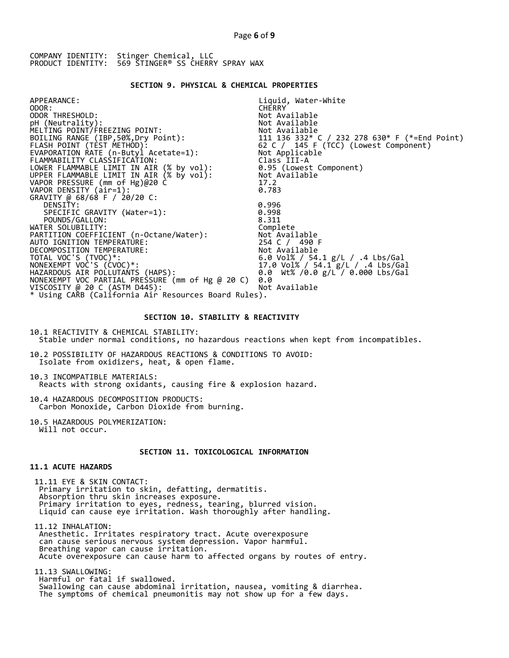### **SECTION 9. PHYSICAL & CHEMICAL PROPERTIES**

| APPEARANCE:                                                                          | Liquid, Water-White                                                                           |
|--------------------------------------------------------------------------------------|-----------------------------------------------------------------------------------------------|
| ODOR:                                                                                | <b>CHERRY</b>                                                                                 |
| ODOR THRESHOLD:                                                                      | Not Available                                                                                 |
| pH (Neutrality):                                                                     | Not Available                                                                                 |
| MELTING POINT/FREEZING POINT:                                                        | Not Available                                                                                 |
| BOILING RANGE (IBP, 50%, Dry Point):                                                 |                                                                                               |
| FLASH POINT (TÈST METHOD):                                                           | 111  136  332* C / 232  278  630* F (*=End Point)<br>62  C / _145  F (TCC) (Lowest Component) |
| EVAPORATION RATE (n-Butyl Acetate=1):                                                | Not Applicable                                                                                |
| FLAMMABILITY CLASSIFICATION:                                                         | Class III-A                                                                                   |
| LOWER FLAMMABLE LIMIT IN AIR (% by vol):<br>UPPER FLAMMABLE LIMIT IN AIR (% by vol): | 0.95 (Lowest Component)                                                                       |
|                                                                                      | Not Available                                                                                 |
| VAPOR PRESSURE (mm of Hg)@20 C                                                       | 17.2                                                                                          |
| VAPOR DENSITY (air=1):                                                               | 0.783                                                                                         |
| GRAVITY @ 68/68 F / 20/20 C:                                                         |                                                                                               |
| DENSITY:                                                                             | 0.996                                                                                         |
| SPECIFIC GRAVITY (Water=1):                                                          | 0.998                                                                                         |
| POUNDS/GALLON:                                                                       | 8.311                                                                                         |
| WATER SOLUBILITY:                                                                    | Complete                                                                                      |
| PARTITION COEFFICIENT (n-Octane/Water):                                              | Not Available                                                                                 |
| AUTO IGNITION TEMPERATURE:                                                           | 254 C / 490 F                                                                                 |
| DECOMPOSITION TEMPERATURE:                                                           | Not Available                                                                                 |
| TOTAL VOC'S (TVOC)*:                                                                 | 6.0 Vol% / 54.1 g/L / .4 Lbs/Gal                                                              |
| NONEXEMPT VOC'S (CVOC)*:                                                             | 17.0 Vol% / 54.1 g/L / .4 Lbs/Gal                                                             |
| HAZARDOUS AIR POLLUTAŃTS (HAPS):                                                     | 0.0 Wt% /0.0 g/L / 0.000 Lbs/Gal                                                              |
| NONEXEMPT VOC PARTIAL PRESSURE (mm of Hg @ 20 C)                                     | 0.0                                                                                           |
| VISCOSITY @ 20 C (ASTM D445):                                                        | Not Available                                                                                 |
| * Using CARB (California Air Resources Board Rules).                                 |                                                                                               |
|                                                                                      |                                                                                               |

### **SECTION 10. STABILITY & REACTIVITY**

10.1 REACTIVITY & CHEMICAL STABILITY: Stable under normal conditions, no hazardous reactions when kept from incompatibles.

10.2 POSSIBILITY OF HAZARDOUS REACTIONS & CONDITIONS TO AVOID: Isolate from oxidizers, heat, & open flame.

10.3 INCOMPATIBLE MATERIALS: Reacts with strong oxidants, causing fire & explosion hazard.

10.4 HAZARDOUS DECOMPOSITION PRODUCTS: Carbon Monoxide, Carbon Dioxide from burning.

10.5 HAZARDOUS POLYMERIZATION: Will not occur.

## **SECTION 11. TOXICOLOGICAL INFORMATION**

## **11.1 ACUTE HAZARDS**

 11.11 EYE & SKIN CONTACT: Primary irritation to skin, defatting, dermatitis. Absorption thru skin increases exposure. Primary irritation to eyes, redness, tearing, blurred vision. Liquid can cause eye irritation. Wash thoroughly after handling.

 11.12 INHALATION: Anesthetic. Irritates respiratory tract. Acute overexposure can cause serious nervous system depression. Vapor harmful. Breathing vapor can cause irritation. Acute overexposure can cause harm to affected organs by routes of entry.

 11.13 SWALLOWING: Harmful or fatal if swallowed. Swallowing can cause abdominal irritation, nausea, vomiting & diarrhea. The symptoms of chemical pneumonitis may not show up for a few days.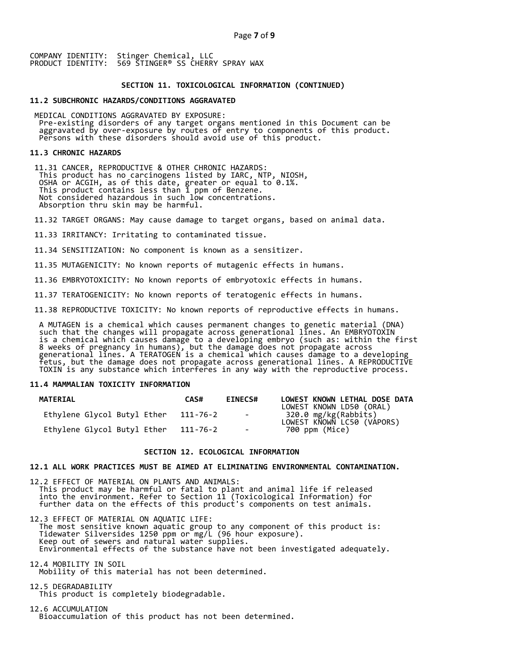### **SECTION 11. TOXICOLOGICAL INFORMATION (CONTINUED)**

## **11.2 SUBCHRONIC HAZARDS/CONDITIONS AGGRAVATED**

 MEDICAL CONDITIONS AGGRAVATED BY EXPOSURE: Pre-existing disorders of any target organs mentioned in this Document can be aggravated by over-exposure by routes of entry to components of this product. Persons with these disorders should avoid use of this product.

#### **11.3 CHRONIC HAZARDS**

 11.31 CANCER, REPRODUCTIVE & OTHER CHRONIC HAZARDS: This product has no carcinogens listed by IARC, NTP, NIOSH, OSHA or ACGIH, as of this date, greater or equal to 0.1%. This product contains less than 1 ppm of Benzene. Not considered hazardous in such low concentrations. Absorption thru skin may be harmful.

11.32 TARGET ORGANS: May cause damage to target organs, based on animal data.

11.33 IRRITANCY: Irritating to contaminated tissue.

11.34 SENSITIZATION: No component is known as a sensitizer.

11.35 MUTAGENICITY: No known reports of mutagenic effects in humans.

11.36 EMBRYOTOXICITY: No known reports of embryotoxic effects in humans.

11.37 TERATOGENICITY: No known reports of teratogenic effects in humans.

11.38 REPRODUCTIVE TOXICITY: No known reports of reproductive effects in humans.

 A MUTAGEN is a chemical which causes permanent changes to genetic material (DNA) such that the changes will propagate across generational lines. An EMBRYOTOXIN is a chemical which causes damage to a developing embryo (such as: within the first 8 weeks of pregnancy in humans), but the damage does not propagate across generational lines. A TERATOGEN is a chemical which causes damage to a developing fetus, but the damage does not propagate across generational lines. A REPRODUCTIVE TOXIN is any substance which interferes in any way with the reproductive process.

## **11.4 MAMMALIAN TOXICITY INFORMATION**

| <b>MATERIAL</b>             | CAS#     | <b>EINECS#</b> | LOWEST KNOWN LETHAL DOSE DATA<br>LOWEST KNOWN LD50 (ORAL) |
|-----------------------------|----------|----------------|-----------------------------------------------------------|
| Ethylene Glycol Butyl Ether | 111-76-2 | $\sim$ $-$     | 320.0 mg/kg(Rabbits)<br>LOWEST KNOWN LC50 (VAPORS)        |
| Ethylene Glycol Butyl Ether | 111-76-2 | $\sim$         | 700 ppm (Mice)                                            |

### **SECTION 12. ECOLOGICAL INFORMATION**

### **12.1 ALL WORK PRACTICES MUST BE AIMED AT ELIMINATING ENVIRONMENTAL CONTAMINATION.**

12.2 EFFECT OF MATERIAL ON PLANTS AND ANIMALS: This product may be harmful or fatal to plant and animal life if released into the environment. Refer to Section 11 (Toxicological Information) for further data on the effects of this product's components on test animals.

12.3 EFFECT OF MATERIAL ON AQUATIC LIFE: The most sensitive known aquatic group to any component of this product is: Tidewater Silversides 1250 ppm or mg/L (96 hour exposure). Keep out of sewers and natural water supplies. Environmental effects of the substance have not been investigated adequately.

12.4 MOBILITY IN SOIL Mobility of this material has not been determined.

12.5 DEGRADABILITY This product is completely biodegradable.

12.6 ACCUMULATION Bioaccumulation of this product has not been determined.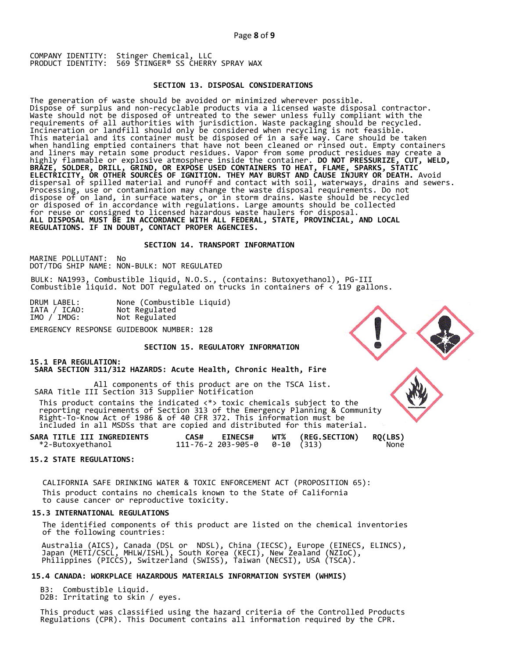### **SECTION 13. DISPOSAL CONSIDERATIONS**

The generation of waste should be avoided or minimized wherever possible. Dispose of surplus and non-recyclable products via a licensed waste disposal contractor. Waste should not be disposed of untreated to the sewer unless fully compliant with the requirements of all authorities with jurisdiction. Waste packaging should be recycled. Incineration or landfill should only be considered when recycling is not feasible. This material and its container must be disposed of in a safe way. Care should be taken when handling emptied containers that have not been cleaned or rinsed out. Empty containers and liners may retain some product residues. Vapor from some product residues may create a highly flammable or explosive atmosphere inside the container. **DO NOT PRESSURIZE, CUT, WELD, BRAZE, SOLDER, DRILL, GRIND, OR EXPOSE USED CONTAINERS TO HEAT, FLAME, SPARKS, STATIC ELECTRICITY, OR OTHER SOURCES OF IGNITION. THEY MAY BURST AND CAUSE INJURY OR DEATH.** Avoid dispersal of spilled material and runoff and contact with soil, waterways, drains and sewers. Processing, use or contamination may change the waste disposal requirements. Do not dispose of on land, in surface waters, or in storm drains. Waste should be recycled or disposed of in accordance with regulations. Large amounts should be collected for reuse or consigned to licensed hazardous waste haulers for disposal. **ALL DISPOSAL MUST BE IN ACCORDANCE WITH ALL FEDERAL, STATE, PROVINCIAL, AND LOCAL REGULATIONS. IF IN DOUBT, CONTACT PROPER AGENCIES.** 

## **SECTION 14. TRANSPORT INFORMATION**

MARINE POLLUTANT: No DOT/TDG SHIP NAME: NON-BULK: NOT REGULATED

BULK: NA1993, Combustible liquid, N.O.S., (contains: Butoxyethanol), PG-III Combustible liquid. Not DOT regulated on trucks in containers of < 119 gallons.

| DRUM LABEL:  | None (Combustible Liquid) |
|--------------|---------------------------|
| IATA / ICAO: | Not Regulated             |
| IMO / IMDG:  | Not Regulated             |
|              |                           |

EMERGENCY RESPONSE GUIDEBOOK NUMBER: 128

## **SECTION 15. REGULATORY INFORMATION**

## **15.1 EPA REGULATION:**

 **SARA SECTION 311/312 HAZARDS: Acute Health, Chronic Health, Fire** 

All components of this product are on the TSCA list. SARA Title III Section 313 Supplier Notification

 This product contains the indicated <\*> toxic chemicals subject to the reporting requirements of Section 313 of the Emergency Planning & Community Right-To-Know Act of 1986 & of 40 CFR 372. This information must be included in all MSDSs that are copied and distributed for this material.

| SARA TITLE III INGREDIENTS | <b>EINECS#</b><br>CAS#                 | <b>WT% (REG.SECTION)</b> | <b>RQ(LBS)</b> |
|----------------------------|----------------------------------------|--------------------------|----------------|
| *2-Butoxyethanol           | $111 - 76 - 2203 - 905 - 00 - 10(313)$ |                          | None           |

### **15.2 STATE REGULATIONS:**

 CALIFORNIA SAFE DRINKING WATER & TOXIC ENFORCEMENT ACT (PROPOSITION 65): This product contains no chemicals known to the State of California to cause cancer or reproductive toxicity.

### **15.3 INTERNATIONAL REGULATIONS**

 The identified components of this product are listed on the chemical inventories of the following countries:

 Australia (AICS), Canada (DSL or NDSL), China (IECSC), Europe (EINECS, ELINCS), Japan (METI/CSCL, MHLW/ISHL), South Korea (KECI), New Zealand (NZIoC), Philippines (PICCS), Switzerland (SWISS), Taiwan (NECSI), USA (TSCA).

### **15.4 CANADA: WORKPLACE HAZARDOUS MATERIALS INFORMATION SYSTEM (WHMIS)**

 B3: Combustible Liquid. D2B: Irritating to skin / eyes.

 This product was classified using the hazard criteria of the Controlled Products Regulations (CPR). This Document contains all information required by the CPR.

![](_page_7_Picture_23.jpeg)